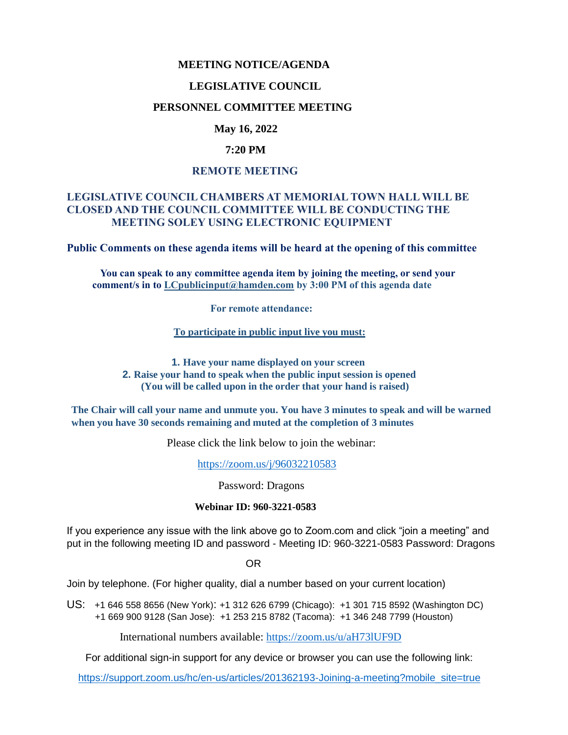## **MEETING NOTICE/AGENDA**

#### **LEGISLATIVE COUNCIL**

## **PERSONNEL COMMITTEE MEETING**

## **May 16, 2022**

#### **7:20 PM**

#### **REMOTE MEETING**

## **LEGISLATIVE COUNCIL CHAMBERS AT MEMORIAL TOWN HALL WILL BE CLOSED AND THE COUNCIL COMMITTEE WILL BE CONDUCTING THE MEETING SOLEY USING ELECTRONIC EQUIPMENT**

**Public Comments on these agenda items will be heard at the opening of this committee** 

 **You can speak to any committee agenda item by joining the meeting, or send your comment/s in to [LCpublicinput@hamden.com](mailto:LCpublicinput@hamden.com) by 3:00 PM of this agenda date**

 **For remote attendance:**

**To participate in public input live you must:**

**1. Have your name displayed on your screen 2. Raise your hand to speak when the public input session is opened (You will be called upon in the order that your hand is raised)**

**The Chair will call your name and unmute you. You have 3 minutes to speak and will be warned when you have 30 seconds remaining and muted at the completion of 3 minutes**

Please click the link below to join the webinar:

<https://zoom.us/j/96032210583>

Password: Dragons

#### **Webinar ID: 960-3221-0583**

If you experience any issue with the link above go to Zoom.com and click "join a meeting" and put in the following meeting ID and password - Meeting ID: 960-3221-0583 Password: Dragons

OR

Join by telephone. (For higher quality, dial a number based on your current location)

US: [+1 646 558 8656 \(New York\)](tel:+16465588656): [+1 312 626 6799 \(Chicago\):](tel:+13126266799) [+1 301 715 8592 \(Washington DC\)](tel:+13017158592) +1 669 900 9128 (San Jose): [+1 253 215 8782 \(Tacoma\):](tel:+12532158782) [+1 346 248 7799 \(Houston\)](tel:+13462487799)

International numbers available:<https://zoom.us/u/aH73lUF9D>

For additional sign-in support for any device or browser you can use the following link:

[https://support.zoom.us/hc/en-us/articles/201362193-Joining-a-meeting?mobile\\_site=true](https://support.zoom.us/hc/en-us/articles/201362193-Joining-a-meeting?mobile_site=true)